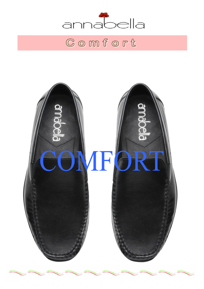

# Comfort

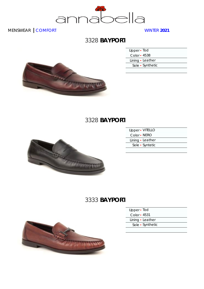

# 3328 **BAYPORT**

| Upper · Tod  |                  |
|--------------|------------------|
| Color - 4538 |                  |
|              | Lining · Leather |
|              | Sole • Synthetic |
|              |                  |

#### 3328 **BAYPORT**



| Upper - VITELLO  |  |
|------------------|--|
| Color • NERO     |  |
| Lining · Leather |  |
| Sole • Syntetic  |  |
|                  |  |

### 3333 **BAYPORT**



- Upper Tod Color ▪ 4531
- Lining Leather
- Sole Synthetic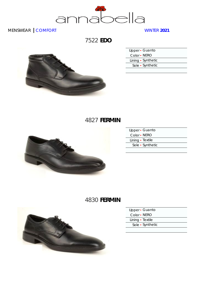

7522 **EDO**



| Upper · Guanto     |  |
|--------------------|--|
| Color • NERO       |  |
| Lining • Synthetic |  |
| Sole • Synthetic   |  |
|                    |  |

# 4827 **FERMIN**



| Upper · Guanto   |
|------------------|
| Color • NERO     |
| Lining • Textile |
| Sole • Synthetic |
|                  |

# 4830 **FERMIN**



| Upper · Guanto   |  |
|------------------|--|
| Color • NERO     |  |
| Lining • Textile |  |
| Sole • Synthetic |  |
|                  |  |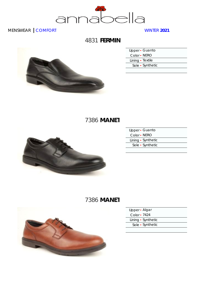

# 4831 **FERMIN**



| Upper · Guanto   |  |
|------------------|--|
| Color • NERO     |  |
| Lining • Textile |  |
| Sole • Synthetic |  |
|                  |  |

# 7386 **MANET**



| Upper · Guanto     |
|--------------------|
| Color • NERO       |
| Lining • Synthetic |
| Sole • Synthetic   |
|                    |

# 7386 **MANET**



| Upper · Algar      |
|--------------------|
| Color • 7424       |
| Lining • Synthetic |
| Sole · Synthetic   |
|                    |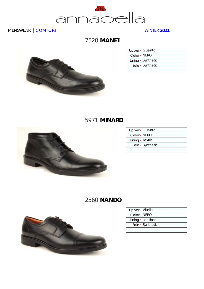

# 7520 **MANET**



| Upper · Guanto     |  |
|--------------------|--|
| Color - NERO       |  |
| Lining • Synthetic |  |
| Sole • Synthetic   |  |
|                    |  |

### 5971 **MINARD**



| Upper • Guanto   |  |
|------------------|--|
| Color • NERO     |  |
| Lining • Textile |  |
| Sole • Synthetic |  |
|                  |  |

# 2560 **NANDO**



| Upper • Vitello |  |
|-----------------|--|
| Color • NERO    |  |

- Lining Leather
- Sole Synthetic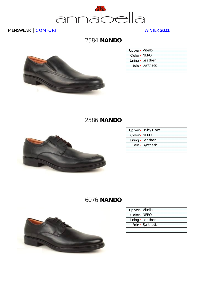

2584 **NANDO**



| Upper - Vitello  |  |
|------------------|--|
| Color • NERO     |  |
| Lining · Leather |  |
| Sole • Synthetic |  |
|                  |  |

# 2586 **NANDO**



|              | Upper - Baby Cow |
|--------------|------------------|
| Color - NERO |                  |
|              | Lining · Leather |
|              | Sole • Synthetic |
|              |                  |

# 6076 **NANDO**



| Upper · Vitello  |  |
|------------------|--|
| Color • NERO     |  |
| Lining · Leather |  |
| Sole • Synthetic |  |
|                  |  |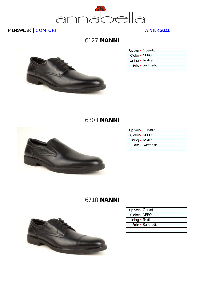

#### 6127 **NANNI**



| Upper · Guanto   |  |
|------------------|--|
| Color - NERO     |  |
| Lining • Textile |  |
| Sole • Synthetic |  |
|                  |  |

# 6303 **NANNI**



|                  | Upper · Guanto   |
|------------------|------------------|
| Color - NERO     |                  |
| Lining · Textile |                  |
|                  | Sole • Synthetic |
|                  |                  |

# 6710 **NANNI**



| Upper · Guanto   |  |
|------------------|--|
| Color • NERO     |  |
| Lining • Textile |  |
| Sole • Synthetic |  |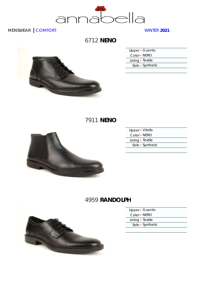

6712 **NENO**



| Upper · Guanto   |
|------------------|
| Color • NERO     |
| Lining · Textile |
| Sole • Synthetic |
|                  |

# 7911 **NENO**



| Upper - Vitello  |  |
|------------------|--|
| Color • NERO     |  |
| Lining • Textile |  |
| Sole • Synthetic |  |
|                  |  |

# 4959 **RANDOLPH**



- Upper Guanto
- Color NERO
- Lining Textile Sole ▪ Synthetic
	-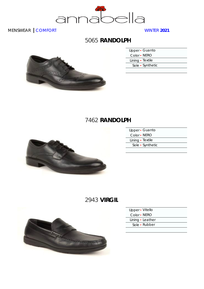

### 5065 **RANDOLPH**



| Upper · Guanto   |
|------------------|
| Color • NERO     |
| Lining · Textile |
| Sole • Synthetic |

# 7462 **RANDOLPH**



| Upper · Guanto   |  |
|------------------|--|
| Color • NERO     |  |
| Lining • Textile |  |
| Sole • Synthetic |  |
|                  |  |

### 2943 **VIRGIL**



| Upper • Vitello  |  |
|------------------|--|
| Color • NERO     |  |
| Lining · Leather |  |
| Sole • Rubber    |  |
|                  |  |